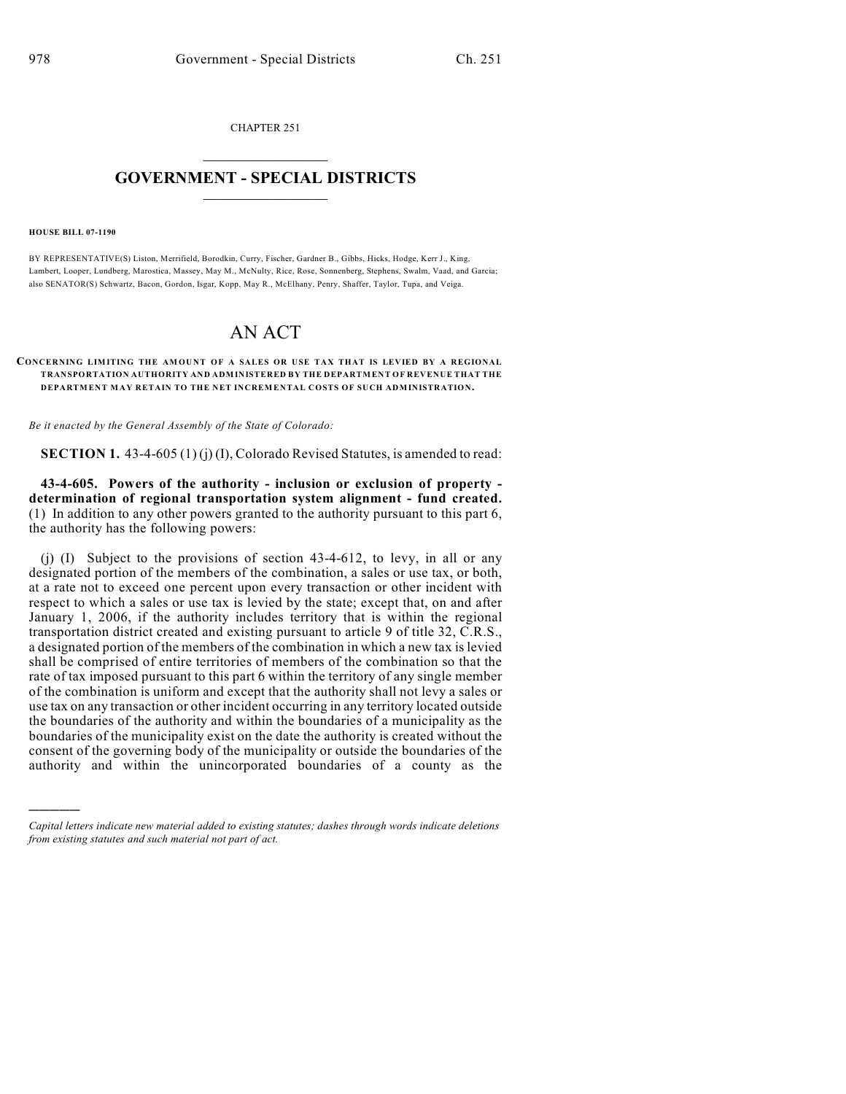CHAPTER 251  $\mathcal{L}_\text{max}$  . The set of the set of the set of the set of the set of the set of the set of the set of the set of the set of the set of the set of the set of the set of the set of the set of the set of the set of the set

## **GOVERNMENT - SPECIAL DISTRICTS**  $\_$

**HOUSE BILL 07-1190**

)))))

BY REPRESENTATIVE(S) Liston, Merrifield, Borodkin, Curry, Fischer, Gardner B., Gibbs, Hicks, Hodge, Kerr J., King, Lambert, Looper, Lundberg, Marostica, Massey, May M., McNulty, Rice, Rose, Sonnenberg, Stephens, Swalm, Vaad, and Garcia; also SENATOR(S) Schwartz, Bacon, Gordon, Isgar, Kopp, May R., McElhany, Penry, Shaffer, Taylor, Tupa, and Veiga.

## AN ACT

## CONCERNING LIMITING THE AMOUNT OF A SALES OR USE TAX THAT IS LEVIED BY A REGIONAL **TRANSPORTATION AUTHORITY AND ADMINISTERED BY THE DEPARTMENT OF REVENUE THAT THE DEPARTMENT MAY RETAIN TO THE NET INCREMENTAL COSTS OF SUCH ADMINISTRATION.**

*Be it enacted by the General Assembly of the State of Colorado:*

**SECTION 1.** 43-4-605 (1) (j) (I), Colorado Revised Statutes, is amended to read:

**43-4-605. Powers of the authority - inclusion or exclusion of property determination of regional transportation system alignment - fund created.** (1) In addition to any other powers granted to the authority pursuant to this part 6, the authority has the following powers:

(i) (I) Subject to the provisions of section  $43-4-612$ , to levy, in all or any designated portion of the members of the combination, a sales or use tax, or both, at a rate not to exceed one percent upon every transaction or other incident with respect to which a sales or use tax is levied by the state; except that, on and after January 1, 2006, if the authority includes territory that is within the regional transportation district created and existing pursuant to article 9 of title 32, C.R.S., a designated portion of the members of the combination in which a new tax is levied shall be comprised of entire territories of members of the combination so that the rate of tax imposed pursuant to this part 6 within the territory of any single member of the combination is uniform and except that the authority shall not levy a sales or use tax on any transaction or other incident occurring in any territory located outside the boundaries of the authority and within the boundaries of a municipality as the boundaries of the municipality exist on the date the authority is created without the consent of the governing body of the municipality or outside the boundaries of the authority and within the unincorporated boundaries of a county as the

*Capital letters indicate new material added to existing statutes; dashes through words indicate deletions from existing statutes and such material not part of act.*